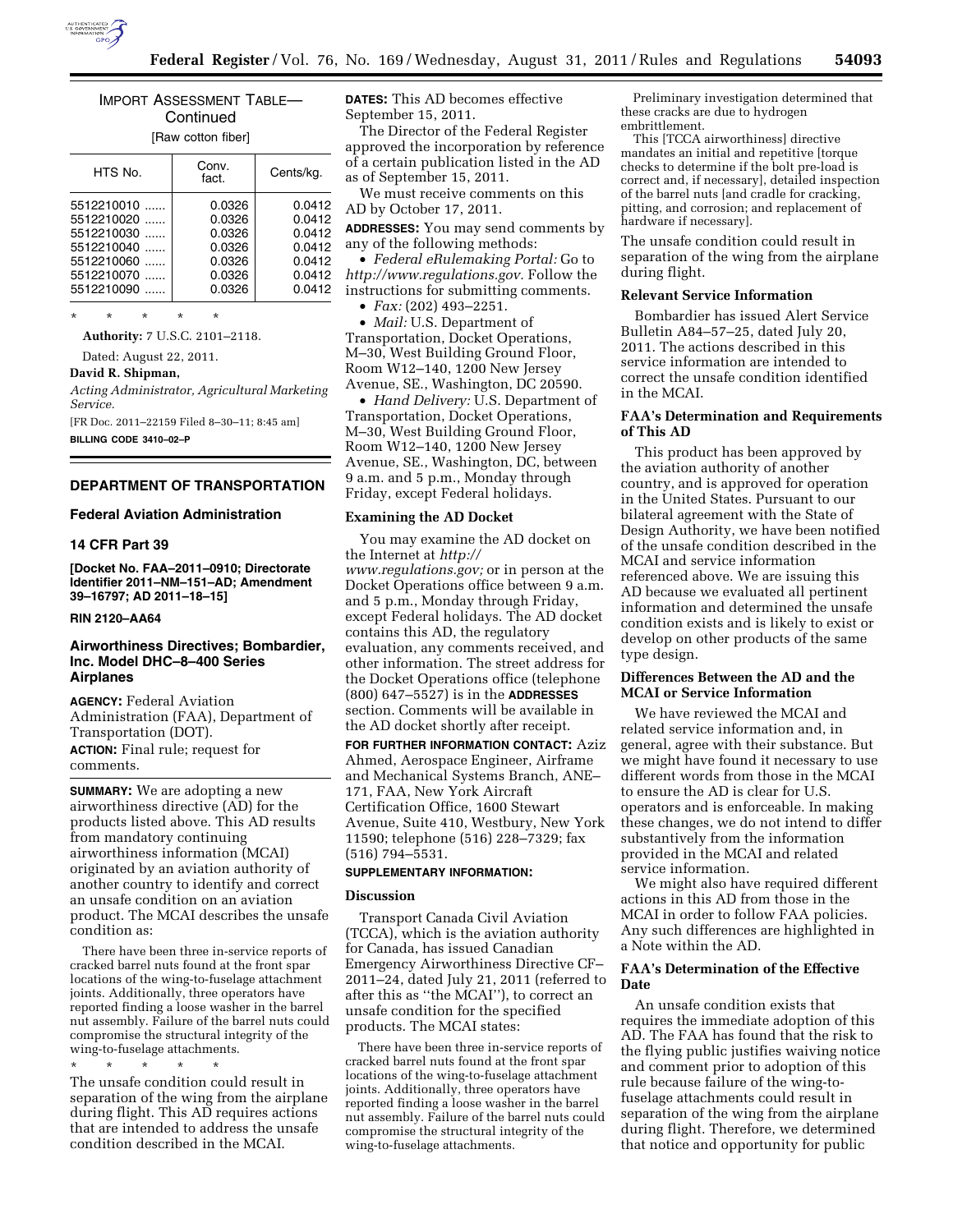

# IMPORT ASSESSMENT TABLE— **Continued**

<sup>[</sup>Raw cotton fiber]

| HTS No.    | Conv.<br>fact. | Cents/kg. |
|------------|----------------|-----------|
| 5512210010 | 0.0326         | 0.0412    |
| 5512210020 | 0.0326         | 0.0412    |
| 5512210030 | 0.0326         | 0.0412    |
| 5512210040 | 0.0326         | 0.0412    |
| 5512210060 | 0.0326         | 0.0412    |
| 5512210070 | 0.0326         | 0.0412    |
| 5512210090 | 0.0326         | 0.0412    |

\* \* \* \* \*

**Authority:** 7 U.S.C. 2101–2118.

Dated: August 22, 2011.

**David R. Shipman,** 

*Acting Administrator, Agricultural Marketing Service.* 

[FR Doc. 2011–22159 Filed 8–30–11; 8:45 am] **BILLING CODE 3410–02–P** 

# **DEPARTMENT OF TRANSPORTATION**

### **Federal Aviation Administration**

# **14 CFR Part 39**

**[Docket No. FAA–2011–0910; Directorate Identifier 2011–NM–151–AD; Amendment 39–16797; AD 2011–18–15]** 

#### **RIN 2120–AA64**

# **Airworthiness Directives; Bombardier, Inc. Model DHC–8–400 Series Airplanes**

**AGENCY:** Federal Aviation Administration (FAA), Department of Transportation (DOT). **ACTION:** Final rule; request for comments.

**SUMMARY:** We are adopting a new airworthiness directive (AD) for the products listed above. This AD results from mandatory continuing airworthiness information (MCAI) originated by an aviation authority of another country to identify and correct an unsafe condition on an aviation product. The MCAI describes the unsafe condition as:

There have been three in-service reports of cracked barrel nuts found at the front spar locations of the wing-to-fuselage attachment joints. Additionally, three operators have reported finding a loose washer in the barrel nut assembly. Failure of the barrel nuts could compromise the structural integrity of the wing-to-fuselage attachments.

\* \* \* \* \*

The unsafe condition could result in separation of the wing from the airplane during flight. This AD requires actions that are intended to address the unsafe condition described in the MCAI.

**DATES:** This AD becomes effective September 15, 2011.

The Director of the Federal Register approved the incorporation by reference of a certain publication listed in the AD as of September 15, 2011.

We must receive comments on this AD by October 17, 2011.

**ADDRESSES:** You may send comments by any of the following methods:

• *Federal eRulemaking Portal:* Go to *[http://www.regulations.gov.](http://www.regulations.gov)* Follow the instructions for submitting comments.

• *Fax:* (202) 493–2251.

• *Mail:* U.S. Department of Transportation, Docket Operations, M–30, West Building Ground Floor, Room W12–140, 1200 New Jersey Avenue, SE., Washington, DC 20590.

• *Hand Delivery:* U.S. Department of Transportation, Docket Operations, M–30, West Building Ground Floor, Room W12–140, 1200 New Jersey Avenue, SE., Washington, DC, between 9 a.m. and 5 p.m., Monday through Friday, except Federal holidays.

### **Examining the AD Docket**

You may examine the AD docket on the Internet at *[http://](http://www.regulations.gov)  [www.regulations.gov;](http://www.regulations.gov)* or in person at the Docket Operations office between 9 a.m. and 5 p.m., Monday through Friday, except Federal holidays. The AD docket contains this AD, the regulatory evaluation, any comments received, and other information. The street address for the Docket Operations office (telephone (800) 647–5527) is in the **ADDRESSES** section. Comments will be available in the AD docket shortly after receipt.

**FOR FURTHER INFORMATION CONTACT:** Aziz Ahmed, Aerospace Engineer, Airframe and Mechanical Systems Branch, ANE– 171, FAA, New York Aircraft Certification Office, 1600 Stewart Avenue, Suite 410, Westbury, New York 11590; telephone (516) 228–7329; fax (516) 794–5531.

# **SUPPLEMENTARY INFORMATION:**

# **Discussion**

Transport Canada Civil Aviation (TCCA), which is the aviation authority for Canada, has issued Canadian Emergency Airworthiness Directive CF– 2011–24, dated July 21, 2011 (referred to after this as ''the MCAI''), to correct an unsafe condition for the specified products. The MCAI states:

There have been three in-service reports of cracked barrel nuts found at the front spar locations of the wing-to-fuselage attachment joints. Additionally, three operators have reported finding a loose washer in the barrel nut assembly. Failure of the barrel nuts could compromise the structural integrity of the wing-to-fuselage attachments.

Preliminary investigation determined that these cracks are due to hydrogen embrittlement.

This [TCCA airworthiness] directive mandates an initial and repetitive [torque checks to determine if the bolt pre-load is correct and, if necessary], detailed inspection of the barrel nuts [and cradle for cracking, pitting, and corrosion; and replacement of hardware if necessary].

The unsafe condition could result in separation of the wing from the airplane during flight.

### **Relevant Service Information**

Bombardier has issued Alert Service Bulletin A84–57–25, dated July 20, 2011. The actions described in this service information are intended to correct the unsafe condition identified in the MCAI.

# **FAA's Determination and Requirements of This AD**

This product has been approved by the aviation authority of another country, and is approved for operation in the United States. Pursuant to our bilateral agreement with the State of Design Authority, we have been notified of the unsafe condition described in the MCAI and service information referenced above. We are issuing this AD because we evaluated all pertinent information and determined the unsafe condition exists and is likely to exist or develop on other products of the same type design.

# **Differences Between the AD and the MCAI or Service Information**

We have reviewed the MCAI and related service information and, in general, agree with their substance. But we might have found it necessary to use different words from those in the MCAI to ensure the AD is clear for U.S. operators and is enforceable. In making these changes, we do not intend to differ substantively from the information provided in the MCAI and related service information.

We might also have required different actions in this AD from those in the MCAI in order to follow FAA policies. Any such differences are highlighted in a Note within the AD.

# **FAA's Determination of the Effective Date**

An unsafe condition exists that requires the immediate adoption of this AD. The FAA has found that the risk to the flying public justifies waiving notice and comment prior to adoption of this rule because failure of the wing-tofuselage attachments could result in separation of the wing from the airplane during flight. Therefore, we determined that notice and opportunity for public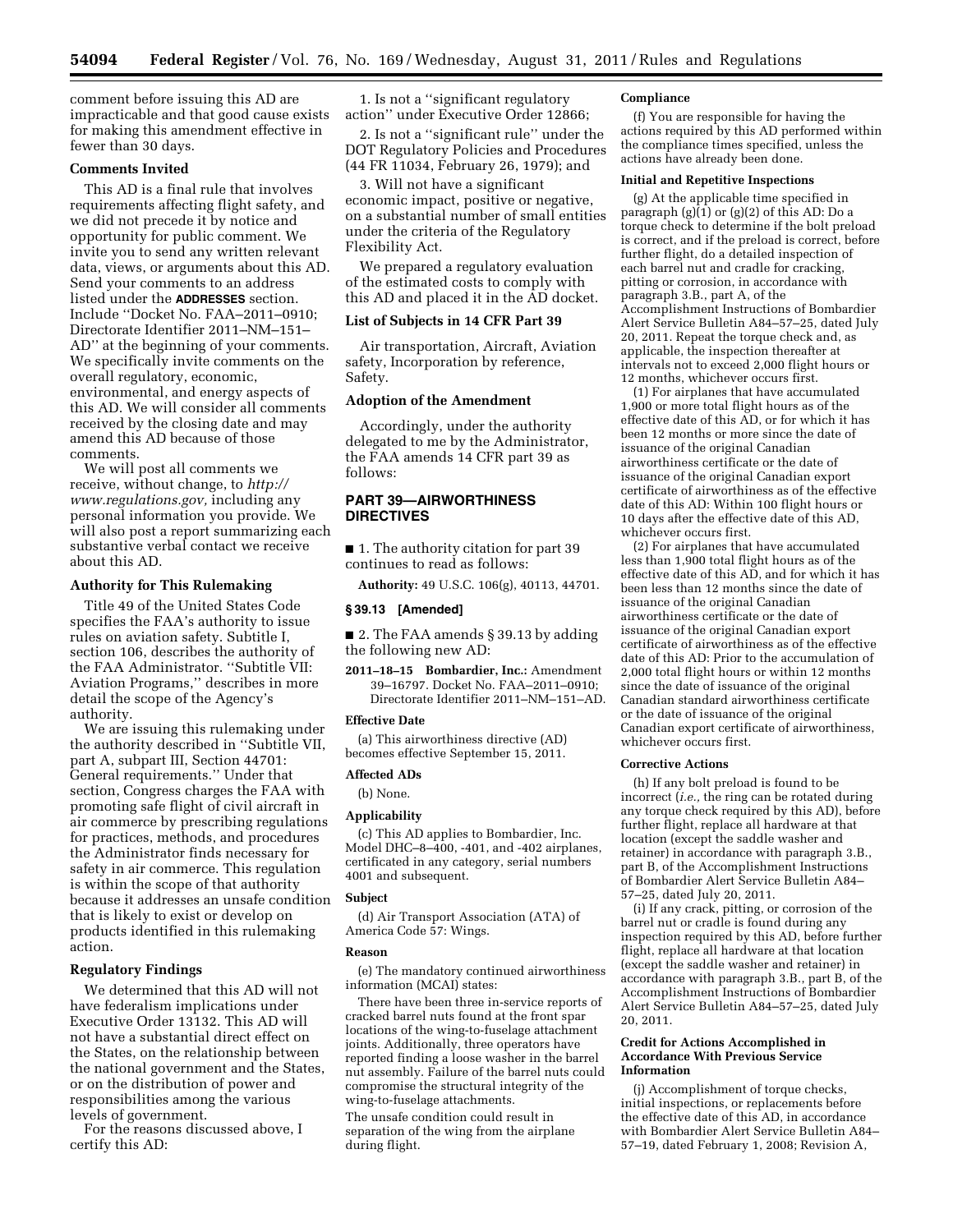comment before issuing this AD are impracticable and that good cause exists for making this amendment effective in fewer than 30 days.

# **Comments Invited**

This AD is a final rule that involves requirements affecting flight safety, and we did not precede it by notice and opportunity for public comment. We invite you to send any written relevant data, views, or arguments about this AD. Send your comments to an address listed under the **ADDRESSES** section. Include ''Docket No. FAA–2011–0910; Directorate Identifier 2011–NM–151– AD'' at the beginning of your comments. We specifically invite comments on the overall regulatory, economic, environmental, and energy aspects of this AD. We will consider all comments received by the closing date and may amend this AD because of those comments.

We will post all comments we receive, without change, to *[http://](http://www.regulations.gov) [www.regulations.gov,](http://www.regulations.gov)* including any personal information you provide. We will also post a report summarizing each substantive verbal contact we receive about this AD.

### **Authority for This Rulemaking**

Title 49 of the United States Code specifies the FAA's authority to issue rules on aviation safety. Subtitle I, section 106, describes the authority of the FAA Administrator. ''Subtitle VII: Aviation Programs,'' describes in more detail the scope of the Agency's authority.

We are issuing this rulemaking under the authority described in ''Subtitle VII, part A, subpart III, Section 44701: General requirements.'' Under that section, Congress charges the FAA with promoting safe flight of civil aircraft in air commerce by prescribing regulations for practices, methods, and procedures the Administrator finds necessary for safety in air commerce. This regulation is within the scope of that authority because it addresses an unsafe condition that is likely to exist or develop on products identified in this rulemaking action.

### **Regulatory Findings**

We determined that this AD will not have federalism implications under Executive Order 13132. This AD will not have a substantial direct effect on the States, on the relationship between the national government and the States, or on the distribution of power and responsibilities among the various levels of government.

For the reasons discussed above, I certify this AD:

1. Is not a ''significant regulatory action'' under Executive Order 12866;

2. Is not a ''significant rule'' under the DOT Regulatory Policies and Procedures (44 FR 11034, February 26, 1979); and

3. Will not have a significant economic impact, positive or negative, on a substantial number of small entities under the criteria of the Regulatory Flexibility Act.

We prepared a regulatory evaluation of the estimated costs to comply with this AD and placed it in the AD docket.

# **List of Subjects in 14 CFR Part 39**

Air transportation, Aircraft, Aviation safety, Incorporation by reference, Safety.

### **Adoption of the Amendment**

Accordingly, under the authority delegated to me by the Administrator, the FAA amends 14 CFR part 39 as follows:

# **PART 39—AIRWORTHINESS DIRECTIVES**

■ 1. The authority citation for part 39 continues to read as follows:

**Authority:** 49 U.S.C. 106(g), 40113, 44701.

#### **§ 39.13 [Amended]**

■ 2. The FAA amends § 39.13 by adding the following new AD:

**2011–18–15 Bombardier, Inc.:** Amendment 39–16797. Docket No. FAA–2011–0910; Directorate Identifier 2011–NM–151–AD.

#### **Effective Date**

(a) This airworthiness directive (AD) becomes effective September 15, 2011.

#### **Affected ADs**

(b) None.

#### **Applicability**

(c) This AD applies to Bombardier, Inc. Model DHC–8–400, -401, and -402 airplanes, certificated in any category, serial numbers 4001 and subsequent.

# **Subject**

(d) Air Transport Association (ATA) of America Code 57: Wings.

#### **Reason**

(e) The mandatory continued airworthiness information (MCAI) states:

There have been three in-service reports of cracked barrel nuts found at the front spar locations of the wing-to-fuselage attachment joints. Additionally, three operators have reported finding a loose washer in the barrel nut assembly. Failure of the barrel nuts could compromise the structural integrity of the wing-to-fuselage attachments.

The unsafe condition could result in separation of the wing from the airplane during flight.

#### **Compliance**

(f) You are responsible for having the actions required by this AD performed within the compliance times specified, unless the actions have already been done.

### **Initial and Repetitive Inspections**

(g) At the applicable time specified in paragraph  $(g)(1)$  or  $(g)(2)$  of this AD: Do a torque check to determine if the bolt preload is correct, and if the preload is correct, before further flight, do a detailed inspection of each barrel nut and cradle for cracking, pitting or corrosion, in accordance with paragraph 3.B., part A, of the Accomplishment Instructions of Bombardier Alert Service Bulletin A84–57–25, dated July 20, 2011. Repeat the torque check and, as applicable, the inspection thereafter at intervals not to exceed 2,000 flight hours or 12 months, whichever occurs first.

(1) For airplanes that have accumulated 1,900 or more total flight hours as of the effective date of this AD, or for which it has been 12 months or more since the date of issuance of the original Canadian airworthiness certificate or the date of issuance of the original Canadian export certificate of airworthiness as of the effective date of this AD: Within 100 flight hours or 10 days after the effective date of this AD, whichever occurs first.

(2) For airplanes that have accumulated less than 1,900 total flight hours as of the effective date of this AD, and for which it has been less than 12 months since the date of issuance of the original Canadian airworthiness certificate or the date of issuance of the original Canadian export certificate of airworthiness as of the effective date of this AD: Prior to the accumulation of 2,000 total flight hours or within 12 months since the date of issuance of the original Canadian standard airworthiness certificate or the date of issuance of the original Canadian export certificate of airworthiness, whichever occurs first.

#### **Corrective Actions**

(h) If any bolt preload is found to be incorrect (*i.e.,* the ring can be rotated during any torque check required by this AD), before further flight, replace all hardware at that location (except the saddle washer and retainer) in accordance with paragraph 3.B., part B, of the Accomplishment Instructions of Bombardier Alert Service Bulletin A84– 57–25, dated July 20, 2011.

(i) If any crack, pitting, or corrosion of the barrel nut or cradle is found during any inspection required by this AD, before further flight, replace all hardware at that location (except the saddle washer and retainer) in accordance with paragraph 3.B., part B, of the Accomplishment Instructions of Bombardier Alert Service Bulletin A84–57–25, dated July 20, 2011.

### **Credit for Actions Accomplished in Accordance With Previous Service Information**

(j) Accomplishment of torque checks, initial inspections, or replacements before the effective date of this AD, in accordance with Bombardier Alert Service Bulletin A84– 57–19, dated February 1, 2008; Revision A,